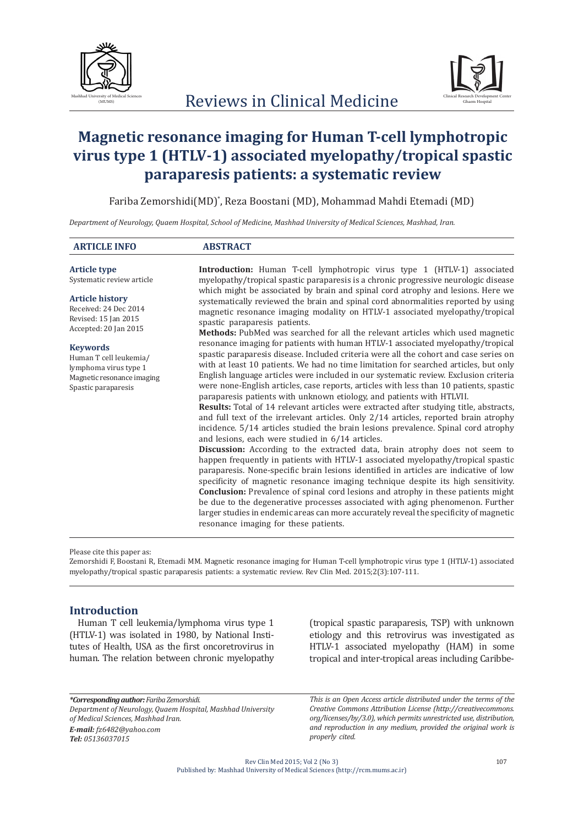



# **Magnetic resonance imaging for Human T-cell lymphotropic virus type 1 (HTLV-1) associated myelopathy/tropical spastic paraparesis patients: a systematic review**

Fariba Zemorshidi(MD)\* , Reza Boostani (MD), Mohammad Mahdi Etemadi (MD)

*Department of Neurology, Quaem Hospital, School of Medicine, Mashhad University of Medical Sciences, Mashhad, Iran.*

| <b>ARTICLE INFO</b>                                                                                                     | <b>ABSTRACT</b>                                                                                                                                                                                                                                                                                                                                                                                                                                                                                                                                                                                                                                                                                                                                                                                                                                                                                                                                                                                                                                                                                                                                                                                                                                                                                                                                                                                                                                                                                                                                                                                                                  |  |
|-------------------------------------------------------------------------------------------------------------------------|----------------------------------------------------------------------------------------------------------------------------------------------------------------------------------------------------------------------------------------------------------------------------------------------------------------------------------------------------------------------------------------------------------------------------------------------------------------------------------------------------------------------------------------------------------------------------------------------------------------------------------------------------------------------------------------------------------------------------------------------------------------------------------------------------------------------------------------------------------------------------------------------------------------------------------------------------------------------------------------------------------------------------------------------------------------------------------------------------------------------------------------------------------------------------------------------------------------------------------------------------------------------------------------------------------------------------------------------------------------------------------------------------------------------------------------------------------------------------------------------------------------------------------------------------------------------------------------------------------------------------------|--|
| <b>Article type</b><br>Systematic review article                                                                        | <b>Introduction:</b> Human T-cell lymphotropic virus type 1 (HTLV-1) associated<br>myelopathy/tropical spastic paraparesis is a chronic progressive neurologic disease<br>which might be associated by brain and spinal cord atrophy and lesions. Here we<br>systematically reviewed the brain and spinal cord abnormalities reported by using<br>magnetic resonance imaging modality on HTLV-1 associated myelopathy/tropical<br>spastic paraparesis patients.                                                                                                                                                                                                                                                                                                                                                                                                                                                                                                                                                                                                                                                                                                                                                                                                                                                                                                                                                                                                                                                                                                                                                                  |  |
| <b>Article history</b><br>Received: 24 Dec 2014<br>Revised: 15 Jan 2015<br>Accepted: 20 Jan 2015                        |                                                                                                                                                                                                                                                                                                                                                                                                                                                                                                                                                                                                                                                                                                                                                                                                                                                                                                                                                                                                                                                                                                                                                                                                                                                                                                                                                                                                                                                                                                                                                                                                                                  |  |
| <b>Keywords</b><br>Human T cell leukemia/<br>lymphoma virus type 1<br>Magnetic resonance imaging<br>Spastic paraparesis | <b>Methods:</b> PubMed was searched for all the relevant articles which used magnetic<br>resonance imaging for patients with human HTLV-1 associated myelopathy/tropical<br>spastic paraparesis disease. Included criteria were all the cohort and case series on<br>with at least 10 patients. We had no time limitation for searched articles, but only<br>English language articles were included in our systematic review. Exclusion criteria<br>were none-English articles, case reports, articles with less than 10 patients, spastic<br>paraparesis patients with unknown etiology, and patients with HTLVII.<br><b>Results:</b> Total of 14 relevant articles were extracted after studying title, abstracts,<br>and full text of the irrelevant articles. Only 2/14 articles, reported brain atrophy<br>incidence. 5/14 articles studied the brain lesions prevalence. Spinal cord atrophy<br>and lesions, each were studied in 6/14 articles.<br><b>Discussion:</b> According to the extracted data, brain atrophy does not seem to<br>happen frequently in patients with HTLV-1 associated myelopathy/tropical spastic<br>paraparesis. None-specific brain lesions identified in articles are indicative of low<br>specificity of magnetic resonance imaging technique despite its high sensitivity.<br><b>Conclusion:</b> Prevalence of spinal cord lesions and atrophy in these patients might<br>be due to the degenerative processes associated with aging phenomenon. Further<br>larger studies in endemic areas can more accurately reveal the specificity of magnetic<br>resonance imaging for these patients. |  |

Please cite this paper as:

Zemorshidi F, Boostani R, Etemadi MM. Magnetic resonance imaging for Human T-cell lymphotropic virus type 1 (HTLV-1) associated myelopathy/tropical spastic paraparesis patients: a systematic review. Rev Clin Med. 2015;2(3):107-111.

## **Introduction**

Human T cell leukemia/lymphoma virus type 1 (HTLV-1) was isolated in 1980, by National Institutes of Health, USA as the first oncoretrovirus in human. The relation between chronic myelopathy (tropical spastic paraparesis, TSP) with unknown etiology and this retrovirus was investigated as HTLV-1 associated myelopathy (HAM) in some tropical and inter-tropical areas including Caribbe-

*\*Corresponding author: Fariba Zemorshidi. Department of Neurology, Quaem Hospital, Mashhad University of Medical Sciences, Mashhad Iran. E-mail: fz6482@yahoo.com Tel: 05136037015*

*This is an Open Access article distributed under the terms of the Creative Commons Attribution License (http://creativecommons. org/licenses/by/3.0), which permits unrestricted use, distribution, and reproduction in any medium, provided the original work is properly cited.*

Rev Clin Med 2015; Vol 2 (No 3) Published by: Mashhad University of Medical Sciences (http://rcm.mums.ac.ir)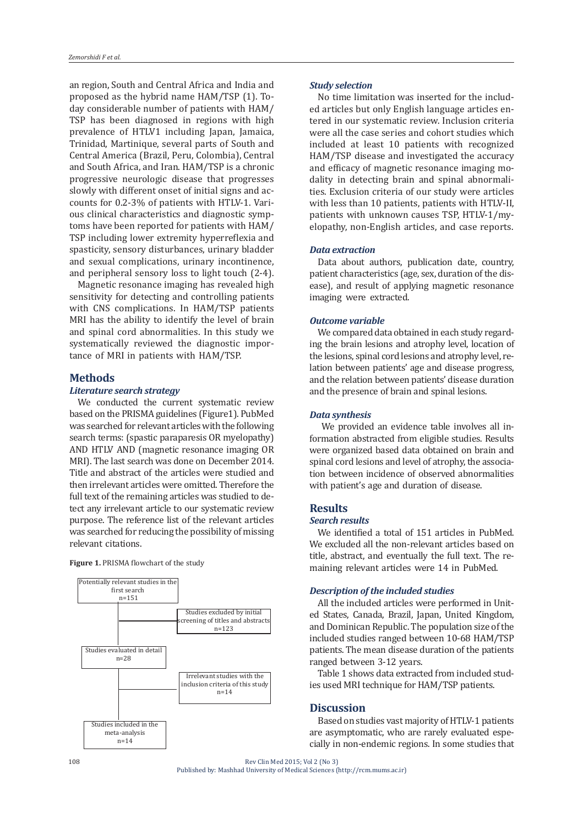an region, South and Central Africa and India and proposed as the hybrid name HAM/TSP (1). Today considerable number of patients with HAM/ TSP has been diagnosed in regions with high prevalence of HTLV1 including Japan, Jamaica, Trinidad, Martinique, several parts of South and Central America (Brazil, Peru, Colombia), Central and South Africa, and Iran. HAM/TSP is a chronic progressive neurologic disease that progresses slowly with different onset of initial signs and accounts for 0.2-3% of patients with HTLV-1. Various clinical characteristics and diagnostic symptoms have been reported for patients with HAM/ TSP including lower extremity hyperreflexia and spasticity, sensory disturbances, urinary bladder and sexual complications, urinary incontinence, and peripheral sensory loss to light touch (2-4).

Magnetic resonance imaging has revealed high sensitivity for detecting and controlling patients with CNS complications. In HAM/TSP patients MRI has the ability to identify the level of brain and spinal cord abnormalities. In this study we systematically reviewed the diagnostic importance of MRI in patients with HAM/TSP.

#### **Methods**

## *Literature search strategy*

We conducted the current systematic review based on the PRISMA guidelines (Figure1). PubMed was searched for relevant articles with the following search terms: (spastic paraparesis OR myelopathy) AND HTLV AND (magnetic resonance imaging OR MRI). The last search was done on December 2014. Title and abstract of the articles were studied and then irrelevant articles were omitted. Therefore the full text of the remaining articles was studied to detect any irrelevant article to our systematic review purpose. The reference list of the relevant articles was searched for reducing the possibility of missing relevant citations.

**Figure 1.** PRISMA flowchart of the study



#### *Study selection*

No time limitation was inserted for the included articles but only English language articles entered in our systematic review. Inclusion criteria were all the case series and cohort studies which included at least 10 patients with recognized HAM/TSP disease and investigated the accuracy and efficacy of magnetic resonance imaging modality in detecting brain and spinal abnormalities. Exclusion criteria of our study were articles with less than 10 patients, patients with HTLV-II, patients with unknown causes TSP, HTLV-1/myelopathy, non-English articles, and case reports.

## *Data extraction*

Data about authors, publication date, country, patient characteristics (age, sex, duration of the disease), and result of applying magnetic resonance imaging were extracted.

#### *Outcome variable*

We compared data obtained in each study regarding the brain lesions and atrophy level, location of the lesions, spinal cord lesions and atrophy level, relation between patients' age and disease progress, and the relation between patients' disease duration and the presence of brain and spinal lesions.

#### *Data synthesis*

 We provided an evidence table involves all information abstracted from eligible studies. Results were organized based data obtained on brain and spinal cord lesions and level of atrophy, the association between incidence of observed abnormalities with patient's age and duration of disease.

## **Results**

## *Search results*

We identified a total of 151 articles in PubMed. We excluded all the non-relevant articles based on title, abstract, and eventually the full text. The remaining relevant articles were 14 in PubMed.

#### *Description of the included studies*

All the included articles were performed in United States, Canada, Brazil, Japan, United Kingdom, and Dominican Republic. The population size of the included studies ranged between 10-68 HAM/TSP patients. The mean disease duration of the patients ranged between 3-12 years.

Table 1 shows data extracted from included studies used MRI technique for HAM/TSP patients.

## **Discussion**

Based on studies vast majority of HTLV-1 patients are asymptomatic, who are rarely evaluated especially in non-endemic regions. In some studies that

108

Rev Clin Med 2015; Vol 2 (No 3) Published by: Mashhad University of Medical Sciences (http://rcm.mums.ac.ir)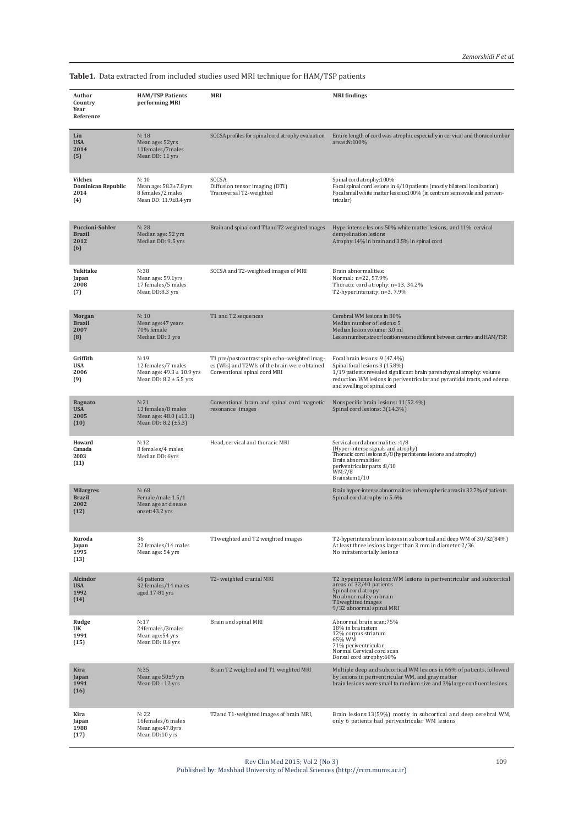**Table1.** Data extracted from included studies used MRI technique for HAM/TSP patients

| Author<br>Country<br>Year<br>Reference                 | <b>HAM/TSP Patients</b><br>performing MRI                                                 | <b>MRI</b>                                                                                                                    | <b>MRI</b> findings                                                                                                                                                                                                                                  |
|--------------------------------------------------------|-------------------------------------------------------------------------------------------|-------------------------------------------------------------------------------------------------------------------------------|------------------------------------------------------------------------------------------------------------------------------------------------------------------------------------------------------------------------------------------------------|
| Liu<br><b>USA</b><br>2014<br>(5)                       | N:18<br>Mean age: 52yrs<br>11females/7males<br>Mean DD: 11 yrs                            | SCCSA profiles for spinal cord atrophy evaluation                                                                             | Entire length of cord was atrophic especially in cervical and thoracolumbar<br>areas:N:100%                                                                                                                                                          |
| Vilchez<br><b>Dominican Republic</b><br>2014<br>(4)    | N: 10<br>Mean age: 58.3±7.8 yrs<br>8 females/2 males<br>Mean DD: 11.9±8.4 yrs             | <b>SCCSA</b><br>Diffusion tensor imaging (DTI)<br>Transversal T2-weighted                                                     | Spinal cord atrophy:100%<br>Focal spinal cord lesions in 6/10 patients (mostly bilateral localization)<br>Focal small white matter lesions:100% (in centrum semiovale and periven-<br>tricular)                                                      |
| <b>Puccioni-Sohler</b><br><b>Brazil</b><br>2012<br>(6) | N: 28<br>Median age: 52 yrs<br>Median DD: 9.5 yrs                                         | Brain and spinal cord T1 and T2 weighted images                                                                               | Hyperintense lesions:50% white matter lesions, and 11% cervical<br>demyelination lesions<br>Atrophy:14% in brain and 3.5% in spinal cord                                                                                                             |
| Yukitake<br>Japan<br>2008<br>(7)                       | N:38<br>Mean age: 59.1yrs<br>17 females/5 males<br>Mean DD:8.3 yrs                        | SCCSA and T2-weighted images of MRI                                                                                           | Brain abnormalities:<br>Normal: n=22, 57.9%<br>Thoracic cord atrophy: n=13, 34.2%<br>T2-hyperintensity: n=3, 7.9%                                                                                                                                    |
| Morgan<br><b>Brazil</b><br>2007<br>(8)                 | N: 10<br>Mean age: 47 years<br>70% female<br>Median DD: 3 yrs                             | T1 and T2 sequences                                                                                                           | Cerebral WM lesions in 80%<br>Median number of lesions: 5<br>Median lesion volume: 3.0 ml<br>Lesion number, size or location was no different between carriers and HAM/TSP.                                                                          |
| Griffith<br><b>USA</b><br>2006<br>(9)                  | N:19<br>12 females/7 males<br>Mean age: $49.3 \pm 10.9$ yrs<br>Mean DD: $8.2 \pm 5.5$ yrs | T1 pre/postcontrast spin echo-weighted imag-<br>es (WIs) and T2WIs of the brain were obtained<br>Conventional spinal cord MRI | Focal brain lesions: 9 (47.4%)<br>Spinal focal lesions: 3 (15.8%)<br>1/19 patients revealed significant brain parenchymal atrophy: volume<br>reduction. WM lesions in periventricular and pyramidal tracts, and edema<br>and swelling of spinal cord |
| <b>Bagnato</b><br><b>USA</b><br>2005<br>(10)           | N:21<br>13 females/8 males<br>Mean age: 48.0 (±13.1)<br>Mean DD: 8.2 $(\pm 5.3)$          | Conventional brain and spinal cord magnetic<br>resonance images                                                               | Nonspecific brain lesions: 11(52.4%)<br>Spinal cord lesions: 3(14.3%)                                                                                                                                                                                |
| Howard<br>Canada<br>2003<br>(11)                       | N:12<br>8 females/4 males<br>Median DD: 6yrs                                              | Head, cervical and thoracic MRI                                                                                               | Servical cord abnormalities : 4/8<br>(Hyper-intense signals and atrophy)<br>Thoracic cord lesions:6/8 (hyperintense lesions and atrophy)<br>Brain abnormalities:<br>periventricular parts: 8/10<br>WM:7/8<br>Brainstem1/10                           |
| <b>Milargres</b><br><b>Brazil</b><br>2002<br>(12)      | N: 68<br>Female/male:1.5/1<br>Mean age at disease<br>onset:43.2 yrs                       |                                                                                                                               | Brain hyper-intense abnormalities in hemispheric areas in 32.7% of patients<br>Spinal cord atrophy in 5.6%                                                                                                                                           |
| Kuroda<br>Japan<br>1995<br>(13)                        | 36<br>22 females/14 males<br>Mean age: 54 yrs                                             | T1 weighted and T2 weighted images                                                                                            | T2-hyperintens brain lesions in subcortical and deep WM of 30/32(84%)<br>At least three lesions larger than 3 mm in diameter: 2/36<br>No infratentorially lesions                                                                                    |
| <b>Alcindor</b><br><b>USA</b><br>1992<br>(14)          | 46 patients<br>32 females/14 males<br>aged 17-81 yrs                                      | T2- weighted cranial MRI                                                                                                      | T2 hypeintense lesions: WM lesions in periventricular and subcortical<br>areas of 32/40 patients<br>Spinal cord atropy<br>No abnormality in brain<br>T1weghited images<br>9/32 abnormal spinal MRI                                                   |
| Rudge<br>UK<br>1991<br>(15)                            | N:17<br>24females/3males<br>Mean age: 54 yrs<br>Mean DD: 8.6 yrs                          | Brain and spinal MRI                                                                                                          | Abnormal brain scan;75%<br>18% in brainstem<br>12% corpus striatum<br>65% WM<br>71% periventricular<br>Normal Cervical cord scan<br>Dorsal cord atrophy:60%                                                                                          |
| Kira<br>Japan<br>1991<br>(16)                          | N:35<br>Mean age 50±9 yrs<br>Mean DD: 12 yrs                                              | Brain T2 weighted and T1 weighted MRI                                                                                         | Multiple deep and subcortical WM lesions in 66% of patients, followed<br>by lesions in periventricular WM, and gray matter<br>brain lesions were small to medium size and 3% large confluent lesions                                                 |
| Kira<br>Japan<br>1988<br>(17)                          | N: 22<br>16females/6 males<br>Mean age: 47.8yrs<br>Mean DD:10 yrs                         | T2and T1-weighted images of brain MRI,                                                                                        | Brain lesions:13(59%) mostly in subcortical and deep cerebral WM,<br>only 6 patients had periventricular WM lesions                                                                                                                                  |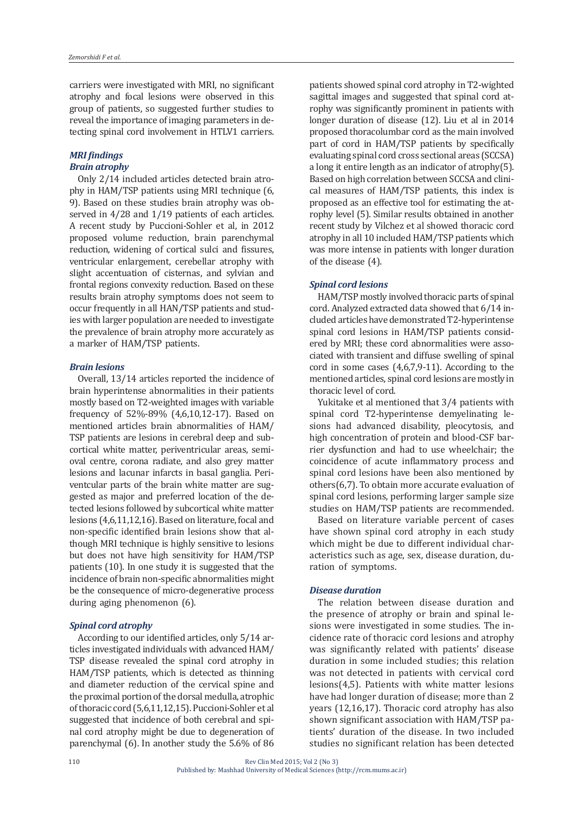carriers were investigated with MRI, no significant atrophy and focal lesions were observed in this group of patients, so suggested further studies to reveal the importance of imaging parameters in detecting spinal cord involvement in HTLV1 carriers.

## *MRI findings Brain atrophy*

Only 2/14 included articles detected brain atrophy in HAM/TSP patients using MRI technique (6, 9). Based on these studies brain atrophy was observed in 4/28 and 1/19 patients of each articles. A recent study by Puccioni-Sohler et al, in 2012 proposed volume reduction, brain parenchymal reduction, widening of cortical sulci and fissures, ventricular enlargement, cerebellar atrophy with slight accentuation of cisternas, and sylvian and frontal regions convexity reduction. Based on these results brain atrophy symptoms does not seem to occur frequently in all HAN/TSP patients and studies with larger population are needed to investigate the prevalence of brain atrophy more accurately as a marker of HAM/TSP patients.

#### *Brain lesions*

Overall, 13/14 articles reported the incidence of brain hyperintense abnormalities in their patients mostly based on T2-weighted images with variable frequency of 52%-89% (4,6,10,12-17). Based on mentioned articles brain abnormalities of HAM/ TSP patients are lesions in cerebral deep and subcortical white matter, periventricular areas, semioval centre, corona radiate, and also grey matter lesions and lacunar infarcts in basal ganglia. Periventcular parts of the brain white matter are suggested as major and preferred location of the detected lesions followed by subcortical white matter lesions (4,6,11,12,16). Based on literature, focal and non-specific identified brain lesions show that although MRI technique is highly sensitive to lesions but does not have high sensitivity for HAM/TSP patients (10). In one study it is suggested that the incidence of brain non-specific abnormalities might be the consequence of micro-degenerative process during aging phenomenon (6).

#### *Spinal cord atrophy*

According to our identified articles, only 5/14 articles investigated individuals with advanced HAM/ TSP disease revealed the spinal cord atrophy in HAM/TSP patients, which is detected as thinning and diameter reduction of the cervical spine and the proximal portion of the dorsal medulla, atrophic of thoracic cord (5,6,11,12,15). Puccioni-Sohler et al suggested that incidence of both cerebral and spinal cord atrophy might be due to degeneration of parenchymal (6). In another study the 5.6% of 86 patients showed spinal cord atrophy in T2-wighted sagittal images and suggested that spinal cord atrophy was significantly prominent in patients with longer duration of disease (12). Liu et al in 2014 proposed thoracolumbar cord as the main involved part of cord in HAM/TSP patients by specifically evaluating spinal cord cross sectional areas (SCCSA) a long it entire length as an indicator of atrophy(5). Based on high correlation between SCCSA and clinical measures of HAM/TSP patients, this index is proposed as an effective tool for estimating the atrophy level (5). Similar results obtained in another recent study by Vilchez et al showed thoracic cord atrophy in all 10 included HAM/TSP patients which was more intense in patients with longer duration of the disease (4).

## *Spinal cord lesions*

HAM/TSP mostly involved thoracic parts of spinal cord. Analyzed extracted data showed that 6/14 included articles have demonstrated T2-hyperintense spinal cord lesions in HAM/TSP patients considered by MRI; these cord abnormalities were associated with transient and diffuse swelling of spinal cord in some cases (4,6,7,9-11). According to the mentioned articles, spinal cord lesions are mostly in thoracic level of cord.

Yukitake et al mentioned that 3/4 patients with spinal cord T2-hyperintense demyelinating lesions had advanced disability, pleocytosis, and high concentration of protein and blood-CSF barrier dysfunction and had to use wheelchair; the coincidence of acute inflammatory process and spinal cord lesions have been also mentioned by others(6,7). To obtain more accurate evaluation of spinal cord lesions, performing larger sample size studies on HAM/TSP patients are recommended.

Based on literature variable percent of cases have shown spinal cord atrophy in each study which might be due to different individual characteristics such as age, sex, disease duration, duration of symptoms.

## *Disease duration*

The relation between disease duration and the presence of atrophy or brain and spinal lesions were investigated in some studies. The incidence rate of thoracic cord lesions and atrophy was significantly related with patients' disease duration in some included studies; this relation was not detected in patients with cervical cord lesions(4,5). Patients with white matter lesions have had longer duration of disease; more than 2 years (12,16,17). Thoracic cord atrophy has also shown significant association with HAM/TSP patients' duration of the disease. In two included studies no significant relation has been detected